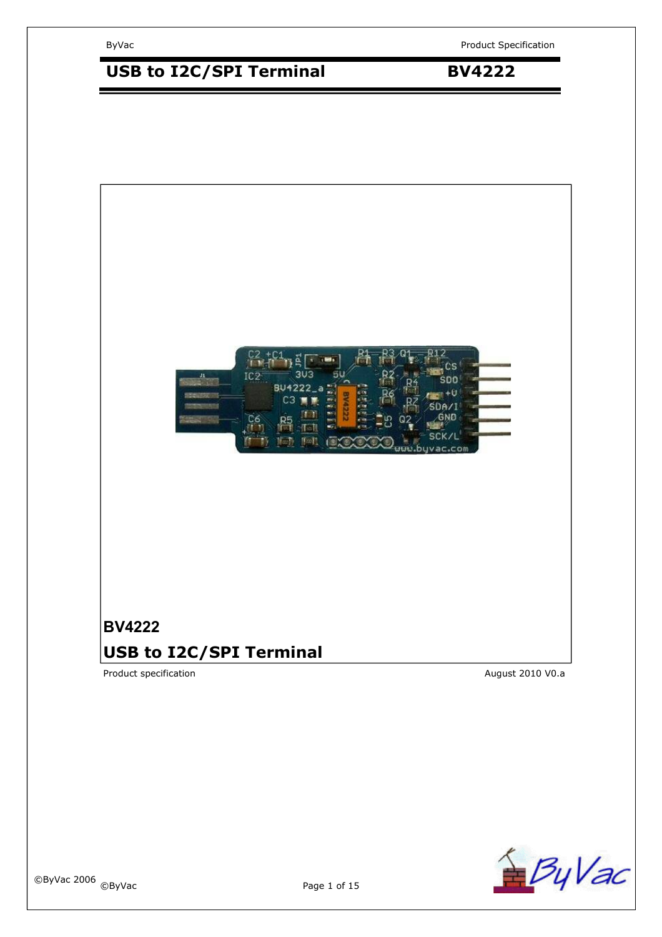# USB to I2C/SPI Terminal **BV4222**



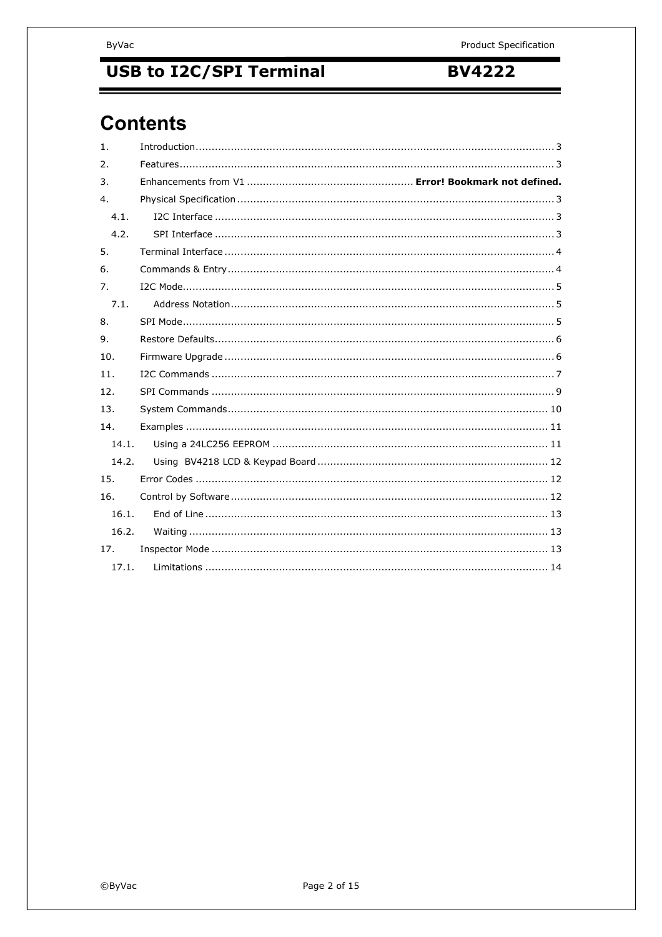**BV4222** 

# **Contents**

| $\mathbf{1}$ .   |  |  |  |
|------------------|--|--|--|
| 2.               |  |  |  |
| 3.               |  |  |  |
| $\overline{4}$ . |  |  |  |
| 4.1.             |  |  |  |
| 4.2.             |  |  |  |
| 5.               |  |  |  |
| 6.               |  |  |  |
| 7.               |  |  |  |
| 7.1.             |  |  |  |
| 8.               |  |  |  |
| 9.               |  |  |  |
| 10.              |  |  |  |
| 11.              |  |  |  |
| 12.              |  |  |  |
| 13.              |  |  |  |
| 14.              |  |  |  |
| 14.1.            |  |  |  |
| 14.2.            |  |  |  |
| 15.              |  |  |  |
| 16.              |  |  |  |
| 16.1.            |  |  |  |
| 16.2.            |  |  |  |
| 17.              |  |  |  |
| 17.1.            |  |  |  |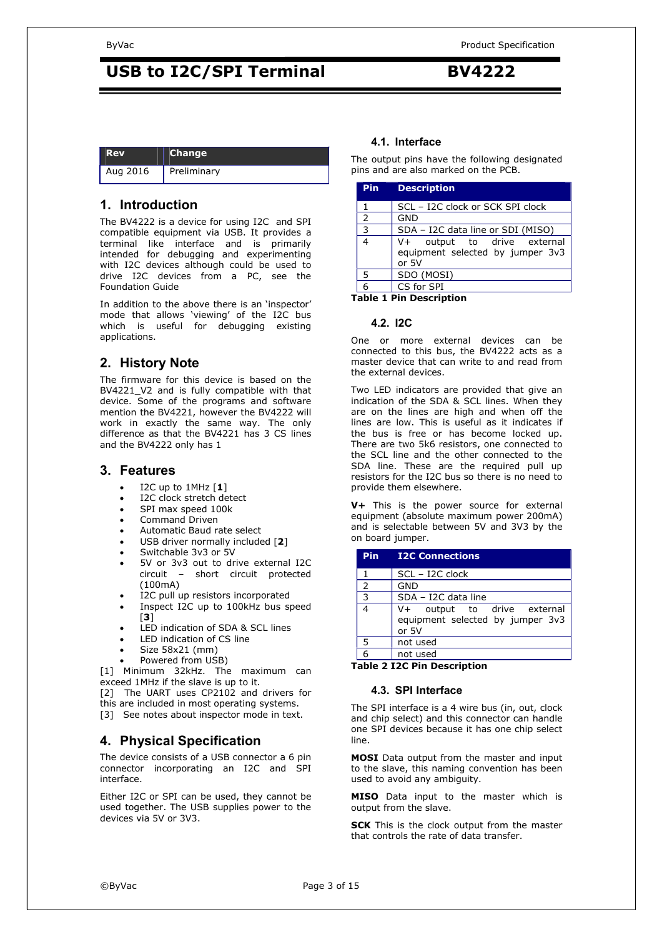| l Rev    | <b>Change</b>      |
|----------|--------------------|
| Aug 2016 | <b>Preliminary</b> |

### **1. Introduction**

The BV4222 is a device for using I2C and SPI compatible equipment via USB. It provides a terminal like interface and is primarily intended for debugging and experimenting with I2C devices although could be used to drive I2C devices from a PC, see the Foundation Guide

In addition to the above there is an 'inspector' mode that allows 'viewing' of the I2C bus which is useful for debugging existing applications.

### **2. History Note**

The firmware for this device is based on the BV4221\_V2\_and\_is\_fully\_compatible\_with\_that device. Some of the programs and software mention the BV4221, however the BV4222 will work in exactly the same way. The only difference as that the BV4221 has 3 CS lines and the BV4222 only has 1

### **3. Features**

- I2C up to 1MHz [**1**]
- I2C clock stretch detect
- SPI max speed 100k
- Command Driven
- Automatic Baud rate select
- USB driver normally included [**2**]
- Switchable 3v3 or 5V
- 5V or 3v3 out to drive external I2C circuit – short circuit protected (100mA)
- I2C pull up resistors incorporated
- Inspect I2C up to 100kHz bus speed [**3**]
- LED indication of SDA & SCL lines
- LED indication of CS line
- Size 58x21 (mm)
- Powered from USB)

[1] Minimum 32kHz. The maximum can exceed 1MHz if the slave is up to it.

[2] The UART uses CP2102 and drivers for this are included in most operating systems.

[3] See notes about inspector mode in text.

### **4. Physical Specification**

The device consists of a USB connector a 6 pin connector incorporating an I2C and SPI interface.

Either I2C or SPI can be used, they cannot be used together. The USB supplies power to the devices via 5V or 3V3.

### **4.1. Interface**

The output pins have the following designated pins and are also marked on the PCB.

| Pin            | <b>Description</b>                                                         |
|----------------|----------------------------------------------------------------------------|
| 1              | SCL - I2C clock or SCK SPI clock                                           |
| $\overline{2}$ | <b>GND</b>                                                                 |
| 3              | SDA - I2C data line or SDI (MISO)                                          |
|                | V+ output to drive external<br>equipment selected by jumper 3v3<br>or $5V$ |
| 5              | SDO (MOSI)                                                                 |
|                | CS for SPI                                                                 |

**Table 1 Pin Description** 

### **4.2. I2C**

One or more external devices can be connected to this bus, the BV4222 acts as a master device that can write to and read from the external devices.

Two LED indicators are provided that give an indication of the SDA & SCL lines. When they are on the lines are high and when off the lines are low. This is useful as it indicates if the bus is free or has become locked up. There are two 5k6 resistors, one connected to the SCL line and the other connected to the SDA line. These are the required pull up resistors for the I2C bus so there is no need to provide them elsewhere.

**V+** This is the power source for external equipment (absolute maximum power 200mA) and is selectable between 5V and 3V3 by the on board jumper.

| Pin           | <b>I2C Connections</b>                                                   |
|---------------|--------------------------------------------------------------------------|
|               | SCL - I2C clock                                                          |
| $\mathcal{P}$ | <b>GND</b>                                                               |
| 3             | SDA - I2C data line                                                      |
| 4             | V+ output to drive external<br>equipment selected by jumper 3v3<br>or 5V |
| 5             | not used                                                                 |
| հ             | not used                                                                 |
|               | .                                                                        |

**Table 2 I2C Pin Description** 

### **4.3. SPI Interface**

The SPI interface is a 4 wire bus (in, out, clock and chip select) and this connector can handle one SPI devices because it has one chip select line.

**MOSI** Data output from the master and input to the slave, this naming convention has been used to avoid any ambiguity.

**MISO** Data input to the master which is output from the slave.

**SCK** This is the clock output from the master that controls the rate of data transfer.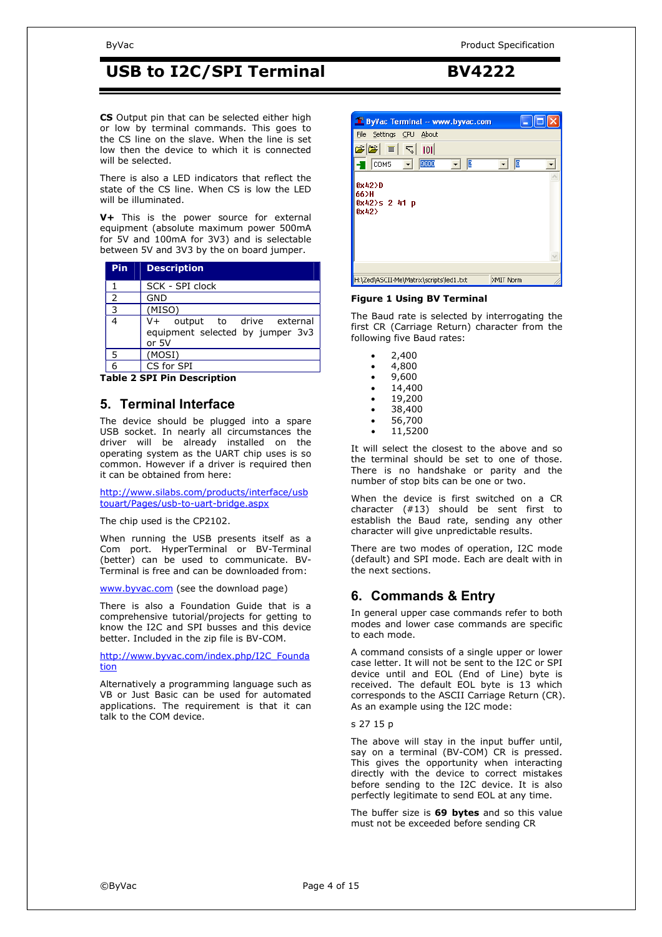**CS** Output pin that can be selected either high or low by terminal commands. This goes to the CS line on the slave. When the line is set low then the device to which it is connected will be selected.

There is also a LED indicators that reflect the state of the CS line. When CS is low the LED will be illuminated.

**V+** This is the power source for external equipment (absolute maximum power 500mA for 5V and 100mA for 3V3) and is selectable between 5V and 3V3 by the on board jumper.

| <b>Description</b>                                                             |
|--------------------------------------------------------------------------------|
| SCK - SPI clock                                                                |
| <b>GND</b>                                                                     |
| (MISO)                                                                         |
| output to drive external<br>$V +$<br>equipment selected by jumper 3v3<br>or 5V |
| (MOSI)                                                                         |
| CS for SPI                                                                     |
|                                                                                |

**Table 2 SPI Pin Description** 

### **5. Terminal Interface**

The device should be plugged into a spare USB socket. In nearly all circumstances the driver will be already installed on the operating system as the UART chip uses is so common. However if a driver is required then it can be obtained from here:

http://www.silabs.com/products/interface/usb touart/Pages/usb-to-uart-bridge.aspx

The chip used is the CP2102.

When running the USB presents itself as a Com port. HyperTerminal or BV-Terminal (better) can be used to communicate. BV-Terminal is free and can be downloaded from:

www.byvac.com (see the download page)

There is also a Foundation Guide that is a comprehensive tutorial/projects for getting to know the I2C and SPI busses and this device better. Included in the zip file is BV-COM.

http://www.byvac.com/index.php/I2C\_Founda tion

Alternatively a programming language such as VB or Just Basic can be used for automated applications. The requirement is that it can talk to the COM device.



#### **Figure 1 Using BV Terminal**

The Baud rate is selected by interrogating the first CR (Carriage Return) character from the following five Baud rates:

| 400 |
|-----|
|     |

- 4,800
- 9,600
- 14,400
- 19,200
- 38,400
- 56,700
- 11,5200

It will select the closest to the above and so the terminal should be set to one of those. There is no handshake or parity and the number of stop bits can be one or two.

When the device is first switched on a CR character (#13) should be sent first to establish the Baud rate, sending any other character will give unpredictable results.

There are two modes of operation, I2C mode (default) and SPI mode. Each are dealt with in the next sections.

### **6. Commands & Entry**

In general upper case commands refer to both modes and lower case commands are specific to each mode.

A command consists of a single upper or lower case letter. It will not be sent to the I2C or SPI device until and EOL (End of Line) byte is received. The default EOL byte is 13 which corresponds to the ASCII Carriage Return (CR). As an example using the I2C mode:

#### s 27 15 p

The above will stay in the input buffer until, say on a terminal (BV-COM) CR is pressed. This gives the opportunity when interacting directly with the device to correct mistakes before sending to the I2C device. It is also perfectly legitimate to send EOL at any time.

The buffer size is **69 bytes** and so this value must not be exceeded before sending CR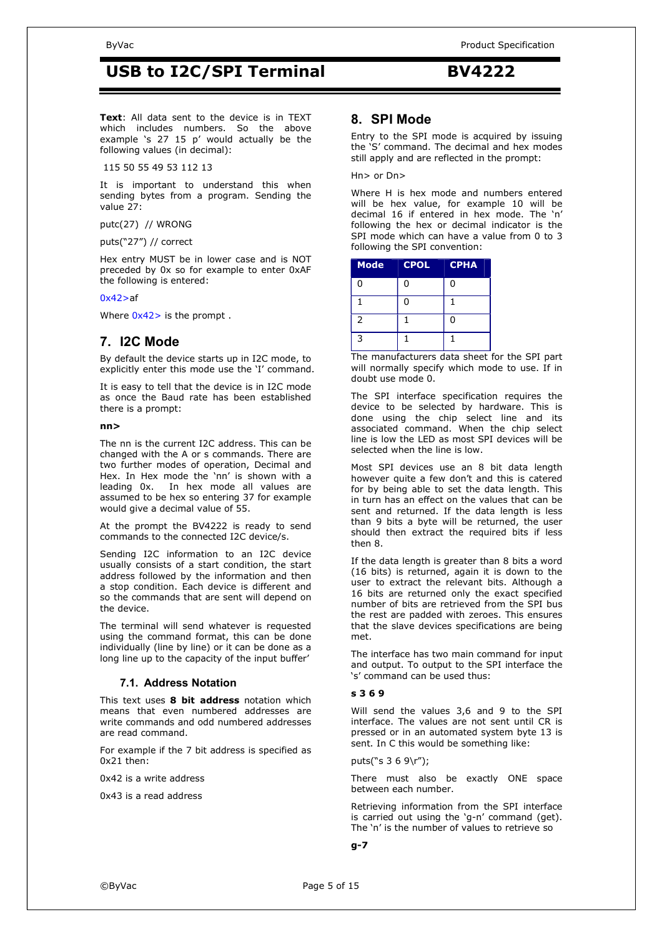**Text**: All data sent to the device is in TEXT which includes numbers. So the above example 's 27 15 p' would actually be the following values (in decimal):

115 50 55 49 53 112 13

It is important to understand this when sending bytes from a program. Sending the value 27:

putc(27) // WRONG

puts("27") // correct

Hex entry MUST be in lower case and is NOT preceded by 0x so for example to enter 0xAF the following is entered:

#### $0x42>af$

Where  $0x42$  is the prompt.

### **7. I2C Mode**

By default the device starts up in I2C mode, to explicitly enter this mode use the 'I' command.

It is easy to tell that the device is in I2C mode as once the Baud rate has been established there is a prompt:

#### **nn>**

The nn is the current I2C address. This can be changed with the A or s commands. There are two further modes of operation, Decimal and Hex. In Hex mode the 'nn' is shown with a leading 0x. In hex mode all values are assumed to be hex so entering 37 for example would give a decimal value of 55.

At the prompt the BV4222 is ready to send commands to the connected I2C device/s.

Sending I2C information to an I2C device usually consists of a start condition, the start address followed by the information and then a stop condition. Each device is different and so the commands that are sent will depend on the device.

The terminal will send whatever is requested using the command format, this can be done individually (line by line) or it can be done as a long line up to the capacity of the input buffer'

### **7.1. Address Notation**

This text uses **8 bit address** notation which means that even numbered addresses are write commands and odd numbered addresses are read command.

For example if the 7 bit address is specified as 0x21 then:

0x42 is a write address

0x43 is a read address

### **8. SPI Mode**

Entry to the SPI mode is acquired by issuing the 'S' command. The decimal and hex modes still apply and are reflected in the prompt:

Hn> or Dn>

Where H is hex mode and numbers entered will be hex value, for example 10 will be decimal 16 if entered in hex mode. The 'n' following the hex or decimal indicator is the SPI mode which can have a value from 0 to 3 following the SPI convention:

| <b>Mode</b>    | <b>CPOL</b> | <b>CPHA</b> |
|----------------|-------------|-------------|
| 0              | 0           | 0           |
| 1              | 0           |             |
| $\overline{2}$ |             | 0           |
| 3              |             |             |

The manufacturers data sheet for the SPI part will normally specify which mode to use. If in doubt use mode 0.

The SPI interface specification requires the device to be selected by hardware. This is done using the chip select line and its associated command. When the chip select line is low the LED as most SPI devices will be selected when the line is low.

Most SPI devices use an 8 bit data length however quite a few don't and this is catered for by being able to set the data length. This in turn has an effect on the values that can be sent and returned. If the data length is less than 9 bits a byte will be returned, the user should then extract the required bits if less then 8.

If the data length is greater than 8 bits a word (16 bits) is returned, again it is down to the user to extract the relevant bits. Although a 16 bits are returned only the exact specified number of bits are retrieved from the SPI bus the rest are padded with zeroes. This ensures that the slave devices specifications are being met.

The interface has two main command for input and output. To output to the SPI interface the 's' command can be used thus:

#### **s 3 6 9**

Will send the values 3,6 and 9 to the SPI interface. The values are not sent until CR is pressed or in an automated system byte 13 is sent. In C this would be something like:

puts("s 3 6 9\r");

There must also be exactly ONE space between each number.

Retrieving information from the SPI interface is carried out using the 'g-n' command (get). The 'n' is the number of values to retrieve so

#### **g-7**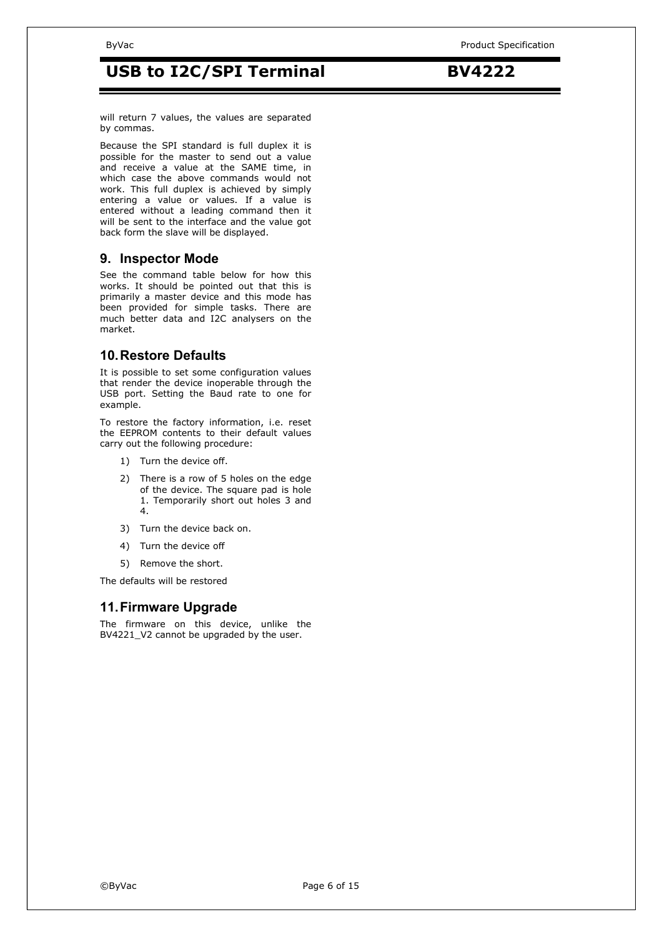will return 7 values, the values are separated by commas.

Because the SPI standard is full duplex it is possible for the master to send out a value and receive a value at the SAME time, in which case the above commands would not work. This full duplex is achieved by simply entering a value or values. If a value is entered without a leading command then it will be sent to the interface and the value got back form the slave will be displayed.

### **9. Inspector Mode**

See the command table below for how this works. It should be pointed out that this is primarily a master device and this mode has been provided for simple tasks. There are much better data and I2C analysers on the market.

### **10. Restore Defaults**

It is possible to set some configuration values that render the device inoperable through the USB port. Setting the Baud rate to one for example.

To restore the factory information, i.e. reset the EEPROM contents to their default values carry out the following procedure:

- 1) Turn the device off.
- 2) There is a row of 5 holes on the edge of the device. The square pad is hole 1. Temporarily short out holes 3 and 4.
- 3) Turn the device back on.
- 4) Turn the device off
- 5) Remove the short.

The defaults will be restored

### **11. Firmware Upgrade**

The firmware on this device, unlike the BV4221\_V2 cannot be upgraded by the user.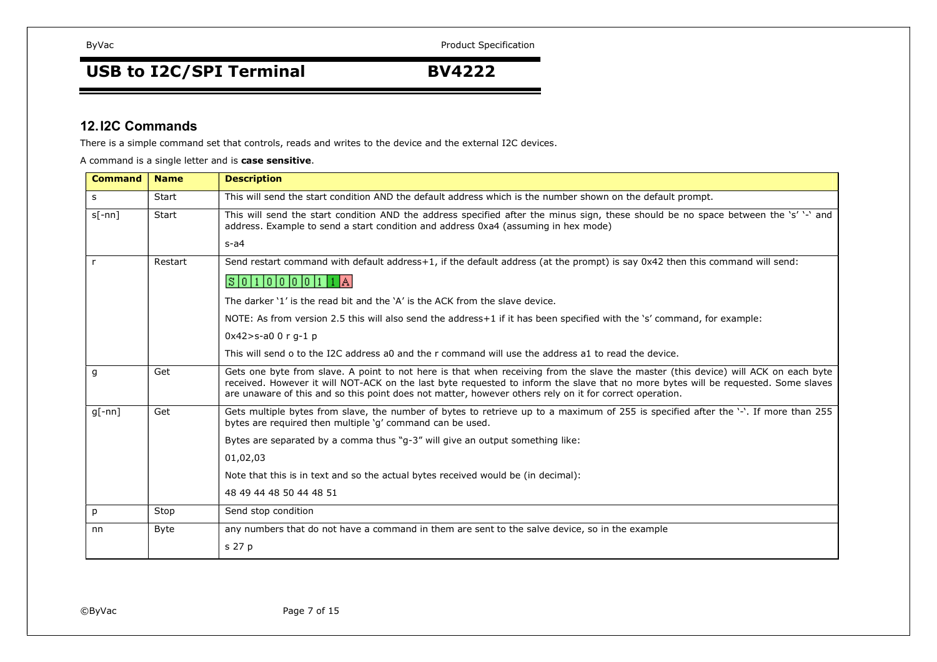# USB to I2C/SPI Terminal **BV4222**

### **12. I2C Commands**

There is a simple command set that controls, reads and writes to the device and the external I2C devices.

A command is a single letter and is **case sensitive**.

| <b>Command</b> | <b>Name</b> | <b>Description</b>                                                                                                                                                                                                                                                                                                                                                                  |
|----------------|-------------|-------------------------------------------------------------------------------------------------------------------------------------------------------------------------------------------------------------------------------------------------------------------------------------------------------------------------------------------------------------------------------------|
| s              | Start       | This will send the start condition AND the default address which is the number shown on the default prompt.                                                                                                                                                                                                                                                                         |
| $s[-nn]$       | Start       | This will send the start condition AND the address specified after the minus sign, these should be no space between the 's' '-' and<br>address. Example to send a start condition and address 0xa4 (assuming in hex mode)<br>$s-a4$                                                                                                                                                 |
| $\mathsf{r}$   | Restart     | Send restart command with default address+1, if the default address (at the prompt) is say 0x42 then this command will send:                                                                                                                                                                                                                                                        |
|                |             | S 0 1 0 0 0 0 1 1 A                                                                                                                                                                                                                                                                                                                                                                 |
|                |             | The darker '1' is the read bit and the 'A' is the ACK from the slave device.                                                                                                                                                                                                                                                                                                        |
|                |             | NOTE: As from version 2.5 this will also send the address+1 if it has been specified with the 's' command, for example:                                                                                                                                                                                                                                                             |
|                |             | $0x42 > s-a00r - 1 p$                                                                                                                                                                                                                                                                                                                                                               |
|                |             | This will send o to the I2C address a0 and the r command will use the address a1 to read the device.                                                                                                                                                                                                                                                                                |
| g              | Get         | Gets one byte from slave. A point to not here is that when receiving from the slave the master (this device) will ACK on each byte<br>received. However it will NOT-ACK on the last byte requested to inform the slave that no more bytes will be requested. Some slaves<br>are unaware of this and so this point does not matter, however others rely on it for correct operation. |
| $q[-nn]$       | Get         | Gets multiple bytes from slave, the number of bytes to retrieve up to a maximum of 255 is specified after the '-'. If more than 255<br>bytes are required then multiple 'q' command can be used.                                                                                                                                                                                    |
|                |             | Bytes are separated by a comma thus "q-3" will give an output something like:                                                                                                                                                                                                                                                                                                       |
|                |             | 01,02,03                                                                                                                                                                                                                                                                                                                                                                            |
|                |             | Note that this is in text and so the actual bytes received would be (in decimal):                                                                                                                                                                                                                                                                                                   |
|                |             | 48 49 44 48 50 44 48 51                                                                                                                                                                                                                                                                                                                                                             |
| p              | Stop        | Send stop condition                                                                                                                                                                                                                                                                                                                                                                 |
| nn             | <b>Byte</b> | any numbers that do not have a command in them are sent to the salve device, so in the example                                                                                                                                                                                                                                                                                      |
|                |             | s 27 p                                                                                                                                                                                                                                                                                                                                                                              |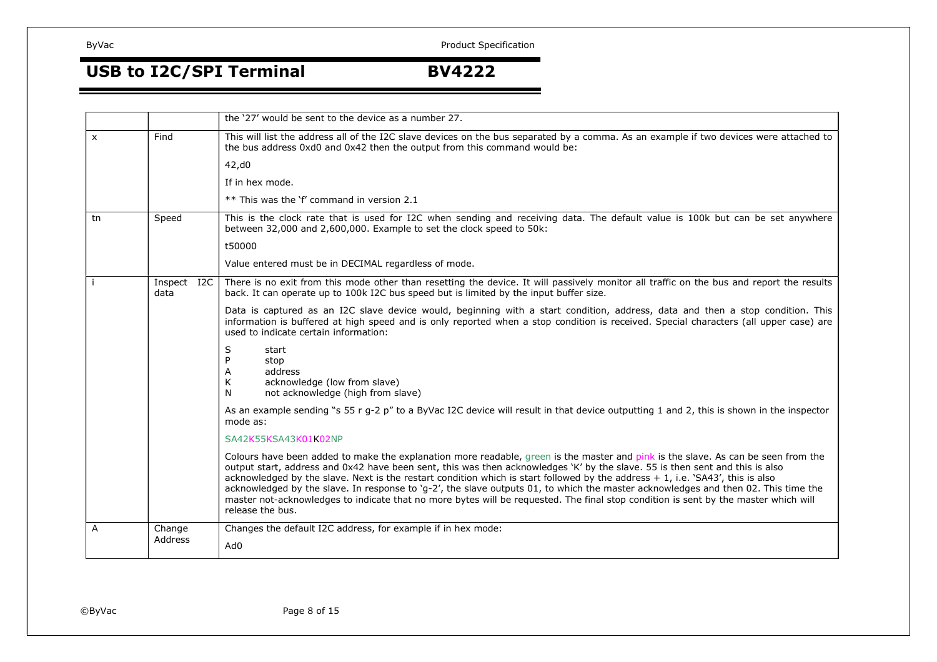# USB to I2C/SPI Terminal **BV4222**

|    |                     | the '27' would be sent to the device as a number 27.                                                                                                                                                                                                                                                                                                                                                                                                                                                                                                                                                                                                                                                 |
|----|---------------------|------------------------------------------------------------------------------------------------------------------------------------------------------------------------------------------------------------------------------------------------------------------------------------------------------------------------------------------------------------------------------------------------------------------------------------------------------------------------------------------------------------------------------------------------------------------------------------------------------------------------------------------------------------------------------------------------------|
| X  | Find                | This will list the address all of the I2C slave devices on the bus separated by a comma. As an example if two devices were attached to<br>the bus address 0xd0 and 0x42 then the output from this command would be:                                                                                                                                                                                                                                                                                                                                                                                                                                                                                  |
|    |                     | 42, d0                                                                                                                                                                                                                                                                                                                                                                                                                                                                                                                                                                                                                                                                                               |
|    |                     | If in hex mode.                                                                                                                                                                                                                                                                                                                                                                                                                                                                                                                                                                                                                                                                                      |
|    |                     | ** This was the 'f' command in version 2.1                                                                                                                                                                                                                                                                                                                                                                                                                                                                                                                                                                                                                                                           |
| tn | Speed               | This is the clock rate that is used for I2C when sending and receiving data. The default value is 100k but can be set anywhere<br>between 32,000 and 2,600,000. Example to set the clock speed to 50k:                                                                                                                                                                                                                                                                                                                                                                                                                                                                                               |
|    |                     | t50000                                                                                                                                                                                                                                                                                                                                                                                                                                                                                                                                                                                                                                                                                               |
|    |                     | Value entered must be in DECIMAL regardless of mode.                                                                                                                                                                                                                                                                                                                                                                                                                                                                                                                                                                                                                                                 |
|    | Inspect I2C<br>data | There is no exit from this mode other than resetting the device. It will passively monitor all traffic on the bus and report the results<br>back. It can operate up to 100k I2C bus speed but is limited by the input buffer size.                                                                                                                                                                                                                                                                                                                                                                                                                                                                   |
|    |                     | Data is captured as an I2C slave device would, beginning with a start condition, address, data and then a stop condition. This<br>information is buffered at high speed and is only reported when a stop condition is received. Special characters (all upper case) are<br>used to indicate certain information:                                                                                                                                                                                                                                                                                                                                                                                     |
|    |                     | S<br>start<br>stop<br>address<br>A<br>K<br>acknowledge (low from slave)<br>N<br>not acknowledge (high from slave)                                                                                                                                                                                                                                                                                                                                                                                                                                                                                                                                                                                    |
|    |                     | As an example sending "s 55 r g-2 p" to a ByVac I2C device will result in that device outputting 1 and 2, this is shown in the inspector<br>mode as:                                                                                                                                                                                                                                                                                                                                                                                                                                                                                                                                                 |
|    |                     | SA42K55KSA43K01K02NP                                                                                                                                                                                                                                                                                                                                                                                                                                                                                                                                                                                                                                                                                 |
|    |                     | Colours have been added to make the explanation more readable, green is the master and pink is the slave. As can be seen from the<br>output start, address and 0x42 have been sent, this was then acknowledges 'K' by the slave. 55 is then sent and this is also<br>acknowledged by the slave. Next is the restart condition which is start followed by the address + 1, i.e. 'SA43', this is also<br>acknowledged by the slave. In response to 'g-2', the slave outputs 01, to which the master acknowledges and then 02. This time the<br>master not-acknowledges to indicate that no more bytes will be requested. The final stop condition is sent by the master which will<br>release the bus. |
| A  | Change              | Changes the default I2C address, for example if in hex mode:                                                                                                                                                                                                                                                                                                                                                                                                                                                                                                                                                                                                                                         |
|    | Address             | Ad0                                                                                                                                                                                                                                                                                                                                                                                                                                                                                                                                                                                                                                                                                                  |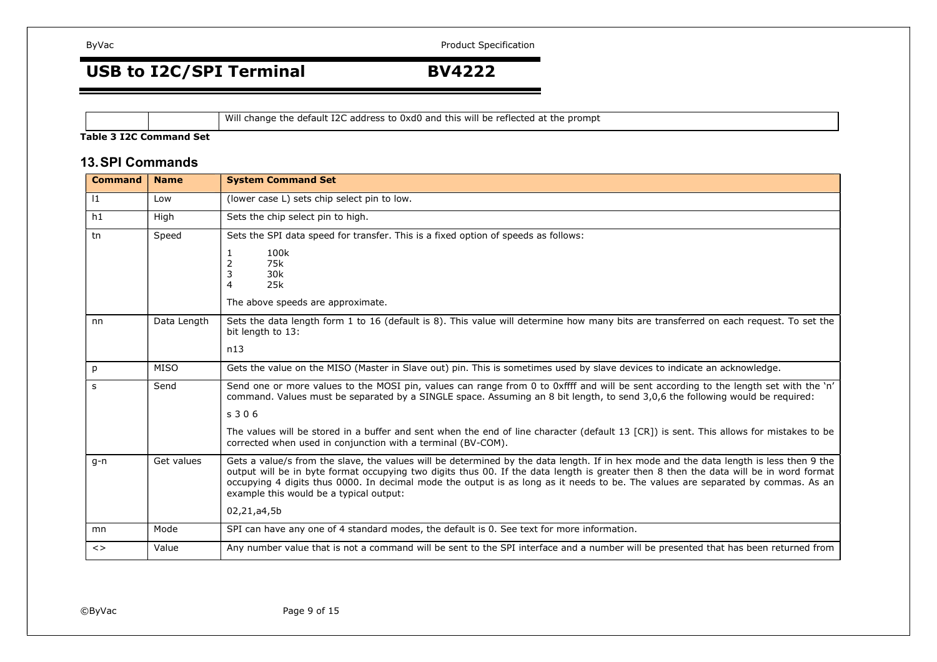USB to I2C/SPI Terminal **BV4222** 

Will change the default I2C address to 0xd0 and this will be reflected at the prompt

### **Table 3 I2C Command Set**

### **13. SPI Commands**

| <b>Command</b>               | <b>Name</b> | <b>System Command Set</b>                                                                                                                                                                                                                                                                                                                                                                                                                                      |
|------------------------------|-------------|----------------------------------------------------------------------------------------------------------------------------------------------------------------------------------------------------------------------------------------------------------------------------------------------------------------------------------------------------------------------------------------------------------------------------------------------------------------|
| 1                            | Low         | (lower case L) sets chip select pin to low.                                                                                                                                                                                                                                                                                                                                                                                                                    |
| h1                           | High        | Sets the chip select pin to high.                                                                                                                                                                                                                                                                                                                                                                                                                              |
| tn                           | Speed       | Sets the SPI data speed for transfer. This is a fixed option of speeds as follows:                                                                                                                                                                                                                                                                                                                                                                             |
|                              |             | 100k<br>1<br>75k<br>2<br>30k<br>3                                                                                                                                                                                                                                                                                                                                                                                                                              |
|                              |             | 25k<br>4                                                                                                                                                                                                                                                                                                                                                                                                                                                       |
|                              |             | The above speeds are approximate.                                                                                                                                                                                                                                                                                                                                                                                                                              |
| nn                           | Data Length | Sets the data length form 1 to 16 (default is 8). This value will determine how many bits are transferred on each request. To set the<br>bit length to 13:                                                                                                                                                                                                                                                                                                     |
|                              |             | n13                                                                                                                                                                                                                                                                                                                                                                                                                                                            |
| p                            | <b>MISO</b> | Gets the value on the MISO (Master in Slave out) pin. This is sometimes used by slave devices to indicate an acknowledge.                                                                                                                                                                                                                                                                                                                                      |
| s                            | Send        | Send one or more values to the MOSI pin, values can range from 0 to 0xffff and will be sent according to the length set with the 'n'<br>command. Values must be separated by a SINGLE space. Assuming an 8 bit length, to send 3,0,6 the following would be required:                                                                                                                                                                                          |
|                              |             | s306                                                                                                                                                                                                                                                                                                                                                                                                                                                           |
|                              |             | The values will be stored in a buffer and sent when the end of line character (default 13 [CR]) is sent. This allows for mistakes to be<br>corrected when used in conjunction with a terminal (BV-COM).                                                                                                                                                                                                                                                        |
| $q-n$                        | Get values  | Gets a value/s from the slave, the values will be determined by the data length. If in hex mode and the data length is less then 9 the<br>output will be in byte format occupying two digits thus 00. If the data length is greater then 8 then the data will be in word format<br>occupying 4 digits thus 0000. In decimal mode the output is as long as it needs to be. The values are separated by commas. As an<br>example this would be a typical output: |
|                              |             | 02,21,a4,5b                                                                                                                                                                                                                                                                                                                                                                                                                                                    |
| mn                           | Mode        | SPI can have any one of 4 standard modes, the default is 0. See text for more information.                                                                                                                                                                                                                                                                                                                                                                     |
| $\left\langle \right\rangle$ | Value       | Any number value that is not a command will be sent to the SPI interface and a number will be presented that has been returned from                                                                                                                                                                                                                                                                                                                            |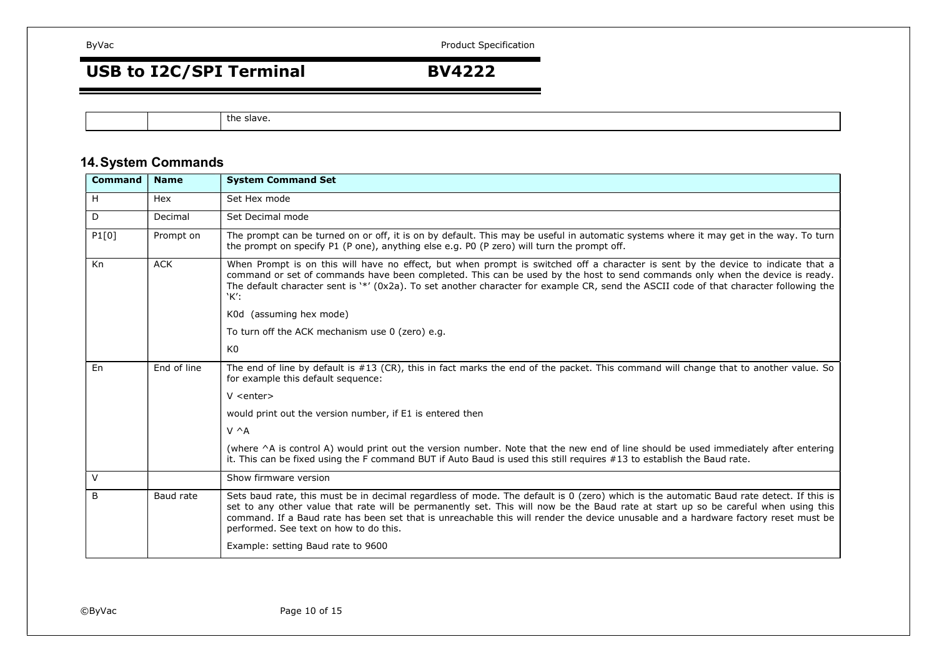# USB to I2C/SPI Terminal **BV4222**

the slave.

## **14. System Commands**

| <b>Command</b> | <b>Name</b> | <b>System Command Set</b>                                                                                                                                                                                                                                                                                                                                                                                                                                     |
|----------------|-------------|---------------------------------------------------------------------------------------------------------------------------------------------------------------------------------------------------------------------------------------------------------------------------------------------------------------------------------------------------------------------------------------------------------------------------------------------------------------|
| H              | Hex         | Set Hex mode                                                                                                                                                                                                                                                                                                                                                                                                                                                  |
| D              | Decimal     | Set Decimal mode                                                                                                                                                                                                                                                                                                                                                                                                                                              |
| P1[0]          | Prompt on   | The prompt can be turned on or off, it is on by default. This may be useful in automatic systems where it may get in the way. To turn<br>the prompt on specify P1 (P one), anything else e.g. P0 (P zero) will turn the prompt off.                                                                                                                                                                                                                           |
| Kn             | <b>ACK</b>  | When Prompt is on this will have no effect, but when prompt is switched off a character is sent by the device to indicate that a<br>command or set of commands have been completed. This can be used by the host to send commands only when the device is ready.<br>The default character sent is '*' (0x2a). To set another character for example CR, send the ASCII code of that character following the<br>`K':                                            |
|                |             | K0d (assuming hex mode)                                                                                                                                                                                                                                                                                                                                                                                                                                       |
|                |             | To turn off the ACK mechanism use 0 (zero) e.g.                                                                                                                                                                                                                                                                                                                                                                                                               |
|                |             | K <sub>0</sub>                                                                                                                                                                                                                                                                                                                                                                                                                                                |
| En             | End of line | The end of line by default is #13 (CR), this in fact marks the end of the packet. This command will change that to another value. So<br>for example this default sequence:                                                                                                                                                                                                                                                                                    |
|                |             | $V$ <enter></enter>                                                                                                                                                                                                                                                                                                                                                                                                                                           |
|                |             | would print out the version number, if E1 is entered then                                                                                                                                                                                                                                                                                                                                                                                                     |
|                |             | $V \wedge A$                                                                                                                                                                                                                                                                                                                                                                                                                                                  |
|                |             | (where ^A is control A) would print out the version number. Note that the new end of line should be used immediately after entering<br>it. This can be fixed using the F command BUT if Auto Baud is used this still requires #13 to establish the Baud rate.                                                                                                                                                                                                 |
| $\vee$         |             | Show firmware version                                                                                                                                                                                                                                                                                                                                                                                                                                         |
| B              | Baud rate   | Sets baud rate, this must be in decimal regardless of mode. The default is 0 (zero) which is the automatic Baud rate detect. If this is<br>set to any other value that rate will be permanently set. This will now be the Baud rate at start up so be careful when using this<br>command. If a Baud rate has been set that is unreachable this will render the device unusable and a hardware factory reset must be<br>performed. See text on how to do this. |
|                |             | Example: setting Baud rate to 9600                                                                                                                                                                                                                                                                                                                                                                                                                            |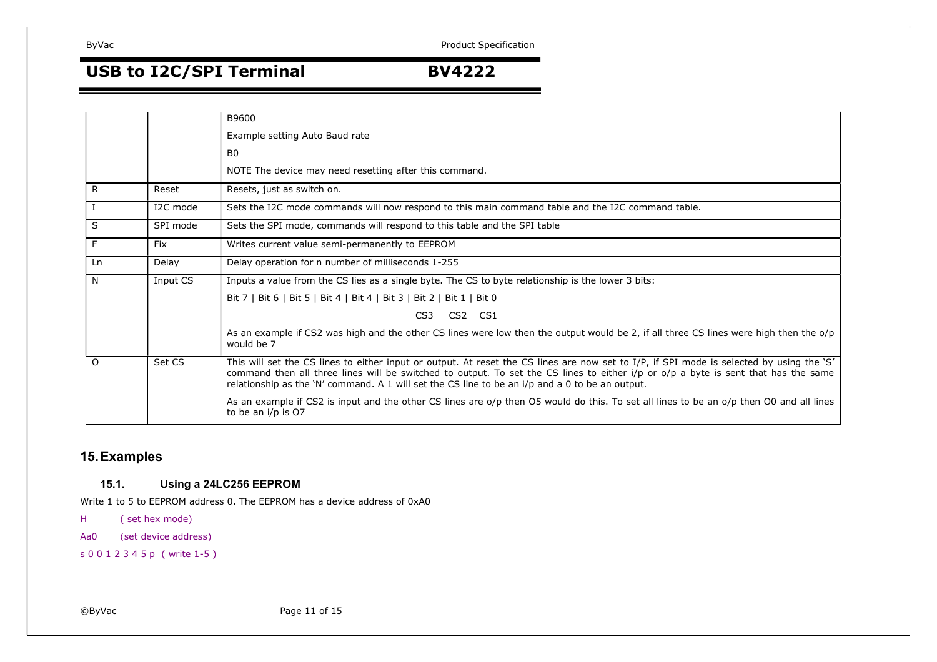USB to I2C/SPI Terminal **BV4222** 

|              |            | B9600                                                                                                                                                                                                                                                                                                                                                                               |
|--------------|------------|-------------------------------------------------------------------------------------------------------------------------------------------------------------------------------------------------------------------------------------------------------------------------------------------------------------------------------------------------------------------------------------|
|              |            | Example setting Auto Baud rate                                                                                                                                                                                                                                                                                                                                                      |
|              |            | B <sub>0</sub>                                                                                                                                                                                                                                                                                                                                                                      |
|              |            | NOTE The device may need resetting after this command.                                                                                                                                                                                                                                                                                                                              |
| $\mathsf{R}$ | Reset      | Resets, just as switch on.                                                                                                                                                                                                                                                                                                                                                          |
|              | I2C mode   | Sets the I2C mode commands will now respond to this main command table and the I2C command table.                                                                                                                                                                                                                                                                                   |
| S            | SPI mode   | Sets the SPI mode, commands will respond to this table and the SPI table                                                                                                                                                                                                                                                                                                            |
| F            | <b>Fix</b> | Writes current value semi-permanently to EEPROM                                                                                                                                                                                                                                                                                                                                     |
| Ln           | Delay      | Delay operation for n number of milliseconds 1-255                                                                                                                                                                                                                                                                                                                                  |
| N            | Input CS   | Inputs a value from the CS lies as a single byte. The CS to byte relationship is the lower 3 bits:                                                                                                                                                                                                                                                                                  |
|              |            | Bit 7   Bit 6   Bit 5   Bit 4   Bit 4   Bit 3   Bit 2   Bit 1   Bit 0                                                                                                                                                                                                                                                                                                               |
|              |            | CS2 CS1<br>CS <sub>3</sub>                                                                                                                                                                                                                                                                                                                                                          |
|              |            | As an example if CS2 was high and the other CS lines were low then the output would be 2, if all three CS lines were high then the o/p<br>would be 7                                                                                                                                                                                                                                |
| $\Omega$     | Set CS     | This will set the CS lines to either input or output. At reset the CS lines are now set to I/P, if SPI mode is selected by using the 'S'<br>command then all three lines will be switched to output. To set the CS lines to either i/p or o/p a byte is sent that has the same<br>relationship as the 'N' command. A 1 will set the CS line to be an $i/p$ and a 0 to be an output. |
|              |            | As an example if CS2 is input and the other CS lines are o/p then O5 would do this. To set all lines to be an o/p then O0 and all lines<br>to be an i/p is O7                                                                                                                                                                                                                       |

## **15. Examples**

### **15.1. Using a 24LC256 EEPROM**

Write 1 to 5 to EEPROM address 0. The EEPROM has a device address of 0xA0

H ( set hex mode)

Aa0 (set device address)

s 0 0 1 2 3 4 5 p ( write 1-5 )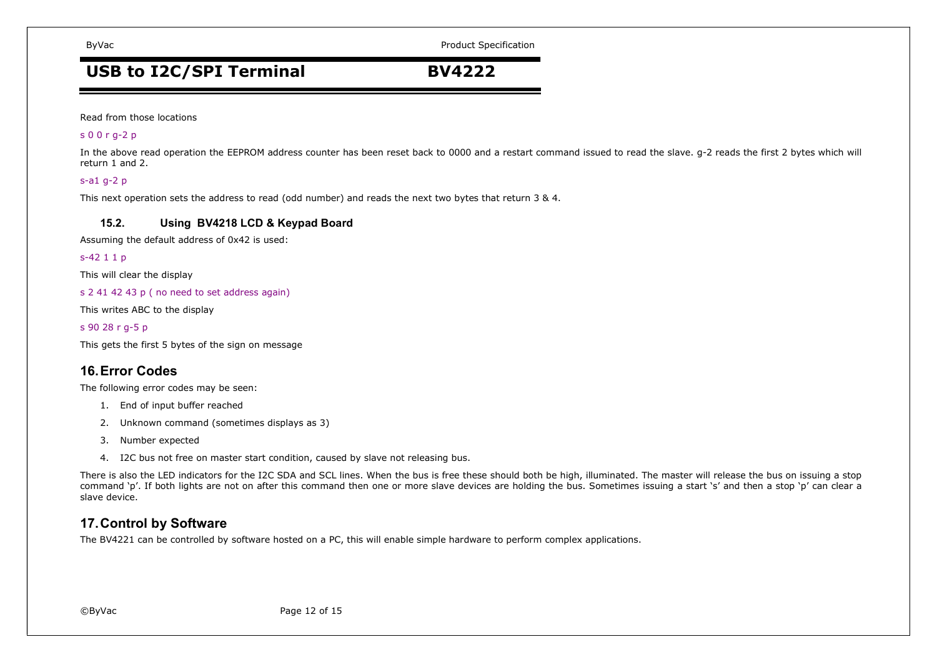ByVac **Product Specification** ByVac

# USB to I2C/SPI Terminal **BV4222**

Read from those locations

### s 0 0 r g-2 p

In the above read operation the EEPROM address counter has been reset back to 0000 and a restart command issued to read the slave. g-2 reads the first 2 bytes which will return 1 and 2.

### s-a1 g-2 p

This next operation sets the address to read (odd number) and reads the next two bytes that return 3 & 4.

### **15.2. Using BV4218 LCD & Keypad Board**

Assuming the default address of 0x42 is used:

### s-42 1 1 p

This will clear the display

s 2 41 42 43 p ( no need to set address again)

This writes ABC to the display

### s 90 28 r g-5 p

This gets the first 5 bytes of the sign on message

### **16. Error Codes**

The following error codes may be seen:

- 1. End of input buffer reached
- 2. Unknown command (sometimes displays as 3)
- 3. Number expected
- 4. I2C bus not free on master start condition, caused by slave not releasing bus.

There is also the LED indicators for the I2C SDA and SCL lines. When the bus is free these should both be high, illuminated. The master will release the bus on issuing a stop command 'p'. If both lights are not on after this command then one or more slave devices are holding the bus. Sometimes issuing a start 's' and then a stop 'p' can clear a slave device.

### **17. Control by Software**

The BV4221 can be controlled by software hosted on a PC, this will enable simple hardware to perform complex applications.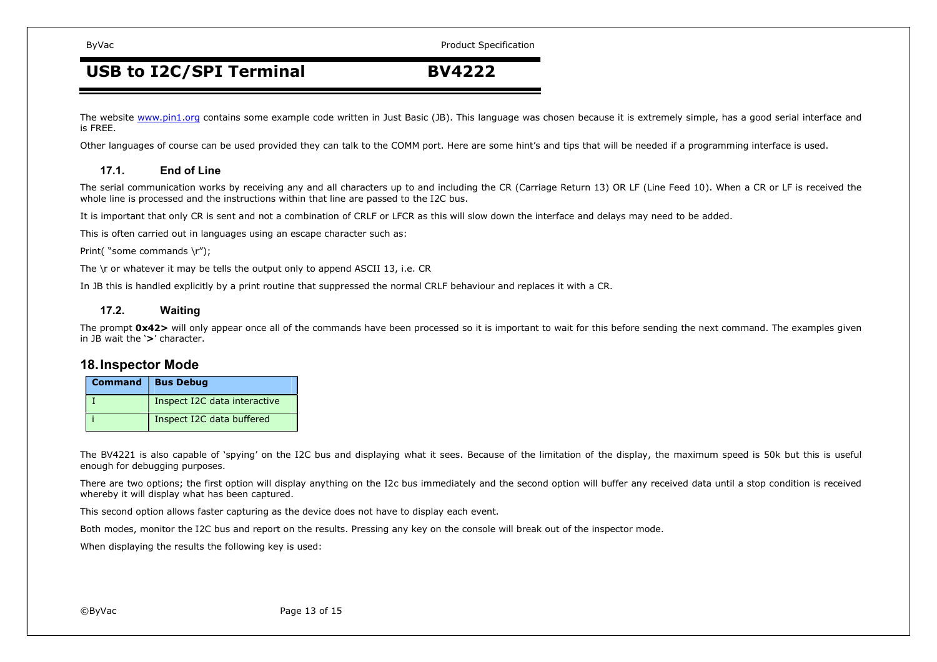ByVac **Product Specification** ByVac

# USB to I2C/SPI Terminal **BV4222**

The website www.pin1.org contains some example code written in Just Basic (JB). This language was chosen because it is extremely simple, has a good serial interface and is FREE.

Other languages of course can be used provided they can talk to the COMM port. Here are some hint's and tips that will be needed if a programming interface is used.

### **17.1. End of Line**

The serial communication works by receiving any and all characters up to and including the CR (Carriage Return 13) OR LF (Line Feed 10). When a CR or LF is received the whole line is processed and the instructions within that line are passed to the I2C bus.

It is important that only CR is sent and not a combination of CRLF or LFCR as this will slow down the interface and delays may need to be added.

This is often carried out in languages using an escape character such as:

Print("some commands \r");

The \r or whatever it may be tells the output only to append ASCII 13, i.e. CR

In JB this is handled explicitly by a print routine that suppressed the normal CRLF behaviour and replaces it with a CR.

### **17.2. Waiting**

The prompt **0x42>** will only appear once all of the commands have been processed so it is important to wait for this before sending the next command. The examples given in JB wait the '**>**' character.

### **18. Inspector Mode**

| Command   Bus Debug          |
|------------------------------|
| Inspect I2C data interactive |
| Inspect I2C data buffered    |

The BV4221 is also capable of 'spying' on the I2C bus and displaying what it sees. Because of the limitation of the display, the maximum speed is 50k but this is useful enough for debugging purposes.

There are two options; the first option will display anything on the I2c bus immediately and the second option will buffer any received data until a stop condition is received whereby it will display what has been captured.

This second option allows faster capturing as the device does not have to display each event.

Both modes, monitor the I2C bus and report on the results. Pressing any key on the console will break out of the inspector mode.

When displaying the results the following key is used: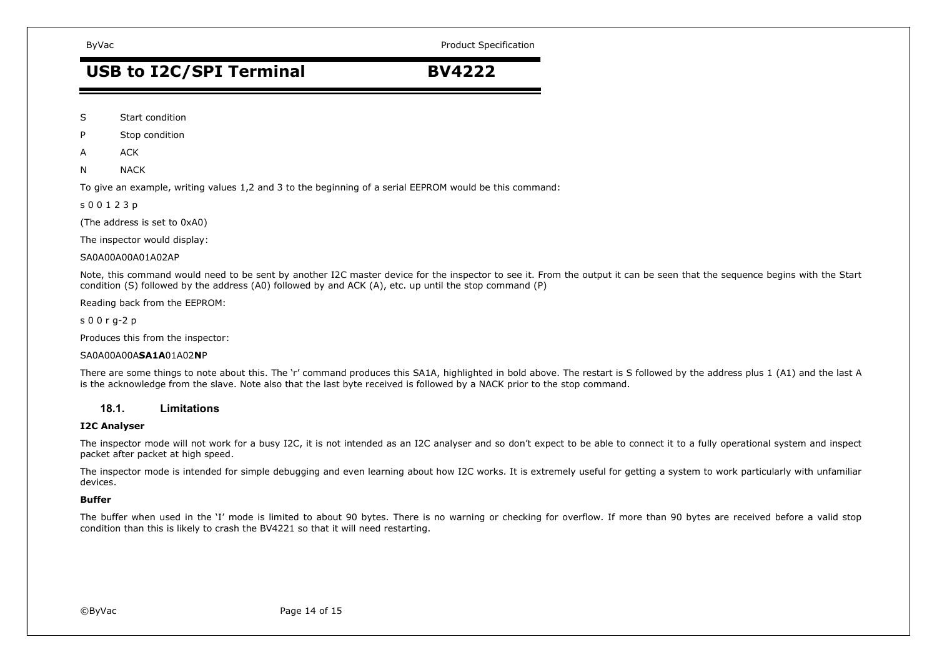ByVac **Product Specification** ByVac

# USB to I2C/SPI Terminal **BV4222**

- S Start condition
- P Stop condition
- A ACK
- N NACK

To give an example, writing values 1,2 and 3 to the beginning of a serial EEPROM would be this command:

s 0 0 1 2 3 p

(The address is set to 0xA0)

The inspector would display:

SA0A00A00A01A02AP

Note, this command would need to be sent by another I2C master device for the inspector to see it. From the output it can be seen that the sequence begins with the Start condition (S) followed by the address (A0) followed by and ACK (A), etc. up until the stop command (P)

Reading back from the EEPROM:

s 0 0 r g-2 p

Produces this from the inspector:

### SA0A00A00A**SA1A**01A02**N**P

There are some things to note about this. The 'r' command produces this SA1A, highlighted in bold above. The restart is S followed by the address plus 1 (A1) and the last A is the acknowledge from the slave. Note also that the last byte received is followed by a NACK prior to the stop command.

### **18.1. Limitations**

### **I2C Analyser**

The inspector mode will not work for a busy I2C, it is not intended as an I2C analyser and so don't expect to be able to connect it to a fully operational system and inspect packet after packet at high speed.

The inspector mode is intended for simple debugging and even learning about how I2C works. It is extremely useful for getting a system to work particularly with unfamiliar devices.

### **Buffer**

The buffer when used in the 'I' mode is limited to about 90 bytes. There is no warning or checking for overflow. If more than 90 bytes are received before a valid stop condition than this is likely to crash the BV4221 so that it will need restarting.